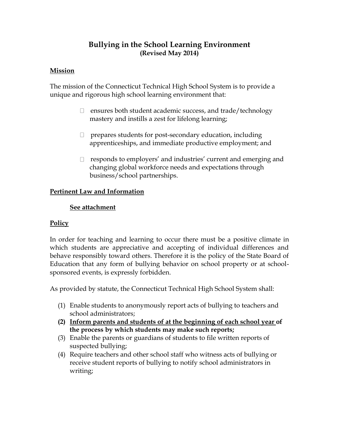# **Bullying in the School Learning Environment (Revised May 2014)**

## **Mission**

The mission of the Connecticut Technical High School System is to provide a unique and rigorous high school learning environment that:

- $\Box$  ensures both student academic success, and trade/technology mastery and instills a zest for lifelong learning;
- $\Box$  prepares students for post-secondary education, including apprenticeships, and immediate productive employment; and
- □ responds to employers' and industries' current and emerging and changing global workforce needs and expectations through business/school partnerships.

## **Pertinent Law and Information**

#### **See attachment**

## **Policy**

In order for teaching and learning to occur there must be a positive climate in which students are appreciative and accepting of individual differences and behave responsibly toward others. Therefore it is the policy of the State Board of Education that any form of bullying behavior on school property or at schoolsponsored events, is expressly forbidden.

As provided by statute, the Connecticut Technical High School System shall:

- (1) Enable students to anonymously report acts of bullying to teachers and school administrators;
- **(2) Inform parents and students of at the beginning of each school year of the process by which students may make such reports;**
- (3) Enable the parents or guardians of students to file written reports of suspected bullying;
- (4) Require teachers and other school staff who witness acts of bullying or receive student reports of bullying to notify school administrators in writing;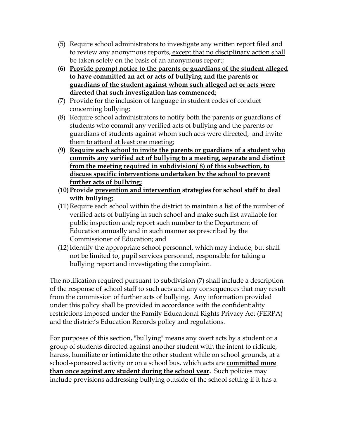- (5) Require school administrators to investigate any written report filed and to review any anonymous reports, except that no disciplinary action shall be taken solely on the basis of an anonymous report;
- **(6) Provide prompt notice to the parents or guardians of the student alleged to have committed an act or acts of bullying and the parents or guardians of the student against whom such alleged act or acts were directed that such investigation has commenced;**
- (7) Provide for the inclusion of language in student codes of conduct concerning bullying;
- (8) Require school administrators to notify both the parents or guardians of students who commit any verified acts of bullying and the parents or guardians of students against whom such acts were directed, and invite them to attend at least one meeting;
- **(9) Require each school to invite the parents or guardians of a student who commits any verified act of bullying to a meeting, separate and distinct from the meeting required in subdivision( 8) of this subsection, to discuss specific interventions undertaken by the school to prevent further acts of bullying;**
- **(10)Provide prevention and intervention strategies for school staff to deal with bullying;**
- (11)Require each school within the district to maintain a list of the number of verified acts of bullying in such school and make such list available for public inspection and**;** report such number to the Department of Education annually and in such manner as prescribed by the Commissioner of Education; and
- (12)Identify the appropriate school personnel, which may include, but shall not be limited to, pupil services personnel, responsible for taking a bullying report and investigating the complaint.

The notification required pursuant to subdivision (7) shall include a description of the response of school staff to such acts and any consequences that may result from the commission of further acts of bullying. Any information provided under this policy shall be provided in accordance with the confidentiality restrictions imposed under the Family Educational Rights Privacy Act (FERPA) and the district's Education Records policy and regulations.

For purposes of this section, "bullying" means any overt acts by a student or a group of students directed against another student with the intent to ridicule, harass, humiliate or intimidate the other student while on school grounds, at a school-sponsored activity or on a school bus, which acts are **committed more than once against any student during the school year.** Such policies may include provisions addressing bullying outside of the school setting if it has a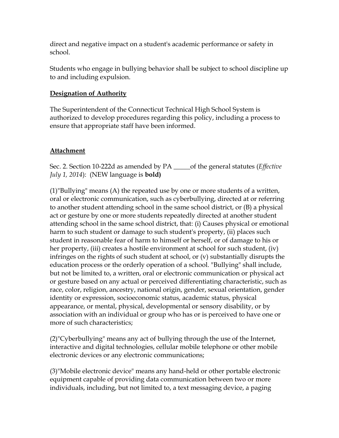direct and negative impact on a student's academic performance or safety in school.

Students who engage in bullying behavior shall be subject to school discipline up to and including expulsion.

## **Designation of Authority**

The Superintendent of the Connecticut Technical High School System is authorized to develop procedures regarding this policy, including a process to ensure that appropriate staff have been informed.

## **Attachment**

Sec. 2. Section 10-222d as amended by PA \_\_\_\_\_of the general statutes (*Effective July 1, 2014*): (NEW language is **bold)**

(1)"Bullying" means (A) the repeated use by one or more students of a written, oral or electronic communication, such as cyberbullying, directed at or referring to another student attending school in the same school district, or (B) a physical act or gesture by one or more students repeatedly directed at another student attending school in the same school district, that: (i) Causes physical or emotional harm to such student or damage to such student's property, (ii) places such student in reasonable fear of harm to himself or herself, or of damage to his or her property, (iii) creates a hostile environment at school for such student, (iv) infringes on the rights of such student at school, or (v) substantially disrupts the education process or the orderly operation of a school. "Bullying" shall include, but not be limited to, a written, oral or electronic communication or physical act or gesture based on any actual or perceived differentiating characteristic, such as race, color, religion, ancestry, national origin, gender, sexual orientation, gender identity or expression, socioeconomic status, academic status, physical appearance, or mental, physical, developmental or sensory disability, or by association with an individual or group who has or is perceived to have one or more of such characteristics;

(2)"Cyberbullying" means any act of bullying through the use of the Internet, interactive and digital technologies, cellular mobile telephone or other mobile electronic devices or any electronic communications;

(3)"Mobile electronic device" means any hand-held or other portable electronic equipment capable of providing data communication between two or more individuals, including, but not limited to, a text messaging device, a paging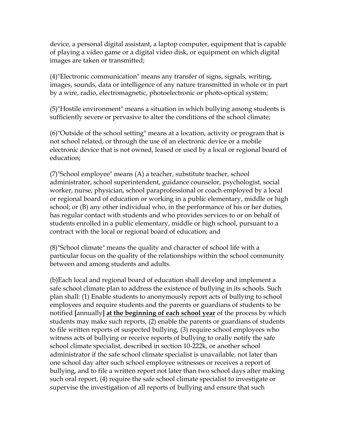device, a personal digital assistant, a laptop computer, equipment that is capable of playing a video game or a digital video disk, or equipment on which digital images are taken or transmitted;

(4)"Electronic communication" means any transfer of signs, signals, writing, images, sounds, data or intelligence of any nature transmitted in whole or in part by a wire, radio, electromagnetic, photoelectronic or photo-optical system;

(5)"Hostile environment" means a situation in which bullying among students is sufficiently severe or pervasive to alter the conditions of the school climate;

(6)"Outside of the school setting" means at a location, activity or program that is not school related, or through the use of an electronic device or a mobile electronic device that is not owned, leased or used by a local or regional board of education;

(7)"School employee" means (A) a teacher, substitute teacher, school administrator, school superintendent, guidance counselor, psychologist, social worker, nurse, physician, school paraprofessional or coach employed by a local or regional board of education or working in a public elementary, middle or high school; or (B) any other individual who, in the performance of his or her duties, has regular contact with students and who provides services to or on behalf of students enrolled in a public elementary, middle or high school, pursuant to a contract with the local or regional board of education; and

(8)"School climate" means the quality and character of school life with a particular focus on the quality of the relationships within the school community between and among students and adults.

(b)Each local and regional board of education shall develop and implement a safe school climate plan to address the existence of bullying in its schools. Such plan shall: (1) Enable students to anonymously report acts of bullying to school employees and require students and the parents or guardians of students to be notified **[**annually**] at the beginning of each school year** of the process by which students may make such reports, (2) enable the parents or guardians of students to file written reports of suspected bullying, (3) require school employees who witness acts of bullying or receive reports of bullying to orally notify the safe school climate specialist, described in section 10-222k, or another school administrator if the safe school climate specialist is unavailable, not later than one school day after such school employee witnesses or receives a report of bullying, and to file a written report not later than two school days after making such oral report, (4) require the safe school climate specialist to investigate or supervise the investigation of all reports of bullying and ensure that such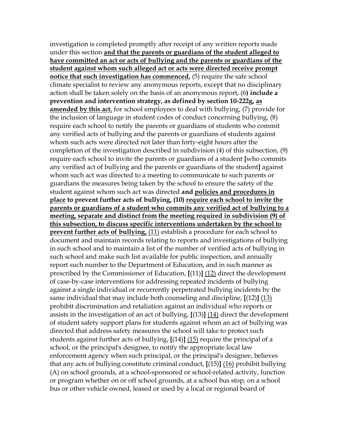investigation is completed promptly after receipt of any written reports made under this section **and that the parents or guardians of the student alleged to have committed an act or acts of bullying and the parents or guardians of the student against whom such alleged act or acts were directed receive prompt notice that such investigation has commenced,** (5) require the safe school climate specialist to review any anonymous reports, except that no disciplinary action shall be taken solely on the basis of an anonymous report, (6**) include a prevention and intervention strategy, as defined by section 10-222g, as amended by this act**, for school employees to deal with bullying, (7) provide for the inclusion of language in student codes of conduct concerning bullying, (8) require each school to notify the parents or guardians of students who commit any verified acts of bullying and the parents or guardians of students against whom such acts were directed not later than forty-eight hours after the completion of the investigation described in subdivision (4) of this subsection, (9) require each school to invite the parents or guardians of a student **[**who commits any verified act of bullying and the parents or guardians of the student**]** against whom such act was directed to a meeting to communicate to such parents or guardians the measures being taken by the school to ensure the safety of the student against whom such act was directed **and policies and procedures in place to prevent further acts of bullying, (10) require each school to invite the parents or guardians of a student who commits any verified act of bullying to a meeting, separate and distinct from the meeting required in subdivision (9) of this subsection, to discuss specific interventions undertaken by the school to prevent further acts of bullying,** (11) establish a procedure for each school to document and maintain records relating to reports and investigations of bullying in such school and to maintain a list of the number of verified acts of bullying in such school and make such list available for public inspection, and annually report such number to the Department of Education, and in such manner as prescribed by the Commissioner of Education, **[**(11)**]** (12) direct the development of case-by-case interventions for addressing repeated incidents of bullying against a single individual or recurrently perpetrated bullying incidents by the same individual that may include both counseling and discipline, **[**(12)**]** (13) prohibit discrimination and retaliation against an individual who reports or assists in the investigation of an act of bullying, **[**(13)**]** (14) direct the development of student safety support plans for students against whom an act of bullying was directed that address safety measures the school will take to protect such students against further acts of bullying, **[**(14)**]** (15) require the principal of a school, or the principal's designee, to notify the appropriate local law enforcement agency when such principal, or the principal's designee, believes that any acts of bullying constitute criminal conduct, **[**(15)**]** (16) prohibit bullying (A) on school grounds, at a school-sponsored or school-related activity, function or program whether on or off school grounds, at a school bus stop, on a school bus or other vehicle owned, leased or used by a local or regional board of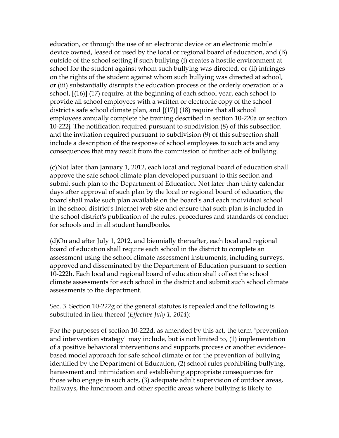education, or through the use of an electronic device or an electronic mobile device owned, leased or used by the local or regional board of education, and (B) outside of the school setting if such bullying (i) creates a hostile environment at school for the student against whom such bullying was directed, or (ii) infringes on the rights of the student against whom such bullying was directed at school, or (iii) substantially disrupts the education process or the orderly operation of a school, **[**(16)**]** (17) require, at the beginning of each school year, each school to provide all school employees with a written or electronic copy of the school district's safe school climate plan, and **[**(17)**]** (18) require that all school employees annually complete the training described in section 10-220a or section 10-222j. The notification required pursuant to subdivision (8) of this subsection and the invitation required pursuant to subdivision (9) of this subsection shall include a description of the response of school employees to such acts and any consequences that may result from the commission of further acts of bullying.

(c)Not later than January 1, 2012, each local and regional board of education shall approve the safe school climate plan developed pursuant to this section and submit such plan to the Department of Education. Not later than thirty calendar days after approval of such plan by the local or regional board of education, the board shall make such plan available on the board's and each individual school in the school district's Internet web site and ensure that such plan is included in the school district's publication of the rules, procedures and standards of conduct for schools and in all student handbooks.

(d)On and after July 1, 2012, and biennially thereafter, each local and regional board of education shall require each school in the district to complete an assessment using the school climate assessment instruments, including surveys, approved and disseminated by the Department of Education pursuant to section 10-222h. Each local and regional board of education shall collect the school climate assessments for each school in the district and submit such school climate assessments to the department.

Sec. 3. Section 10-222g of the general statutes is repealed and the following is substituted in lieu thereof (*Effective July 1, 2014*):

For the purposes of section 10-222d, as amended by this act, the term "prevention and intervention strategy" may include, but is not limited to, (1) implementation of a positive behavioral interventions and supports process or another evidencebased model approach for safe school climate or for the prevention of bullying identified by the Department of Education, (2) school rules prohibiting bullying, harassment and intimidation and establishing appropriate consequences for those who engage in such acts, (3) adequate adult supervision of outdoor areas, hallways, the lunchroom and other specific areas where bullying is likely to